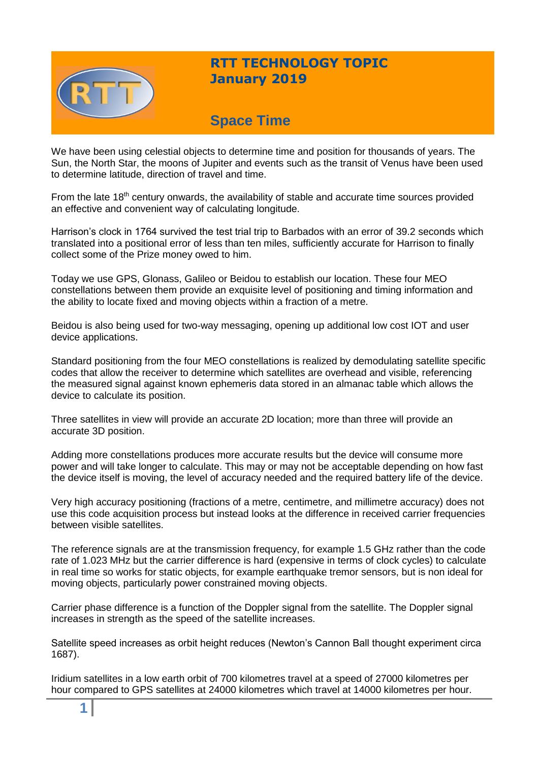

## **RTT TECHNOLOGY TOPIC January 2019**

# **Space Time**

We have been using celestial objects to determine time and position for thousands of years. The Sun, the North Star, the moons of Jupiter and events such as the transit of Venus have been used to determine latitude, direction of travel and time.

From the late 18<sup>th</sup> century onwards, the availability of stable and accurate time sources provided an effective and convenient way of calculating longitude.

Harrison's clock in 1764 survived the test trial trip to Barbados with an error of 39.2 seconds which translated into a positional error of less than ten miles, sufficiently accurate for Harrison to finally collect some of the Prize money owed to him.

Today we use GPS, Glonass, Galileo or Beidou to establish our location. These four MEO constellations between them provide an exquisite level of positioning and timing information and the ability to locate fixed and moving objects within a fraction of a metre.

Beidou is also being used for two-way messaging, opening up additional low cost IOT and user device applications.

Standard positioning from the four MEO constellations is realized by demodulating satellite specific codes that allow the receiver to determine which satellites are overhead and visible, referencing the measured signal against known ephemeris data stored in an almanac table which allows the device to calculate its position.

Three satellites in view will provide an accurate 2D location; more than three will provide an accurate 3D position.

Adding more constellations produces more accurate results but the device will consume more power and will take longer to calculate. This may or may not be acceptable depending on how fast the device itself is moving, the level of accuracy needed and the required battery life of the device.

Very high accuracy positioning (fractions of a metre, centimetre, and millimetre accuracy) does not use this code acquisition process but instead looks at the difference in received carrier frequencies between visible satellites.

The reference signals are at the transmission frequency, for example 1.5 GHz rather than the code rate of 1.023 MHz but the carrier difference is hard (expensive in terms of clock cycles) to calculate in real time so works for static objects, for example earthquake tremor sensors, but is non ideal for moving objects, particularly power constrained moving objects.

Carrier phase difference is a function of the Doppler signal from the satellite. The Doppler signal increases in strength as the speed of the satellite increases.

Satellite speed increases as orbit height reduces (Newton's Cannon Ball thought experiment circa 1687).

Iridium satellites in a low earth orbit of 700 kilometres travel at a speed of 27000 kilometres per hour compared to GPS satellites at 24000 kilometres which travel at 14000 kilometres per hour.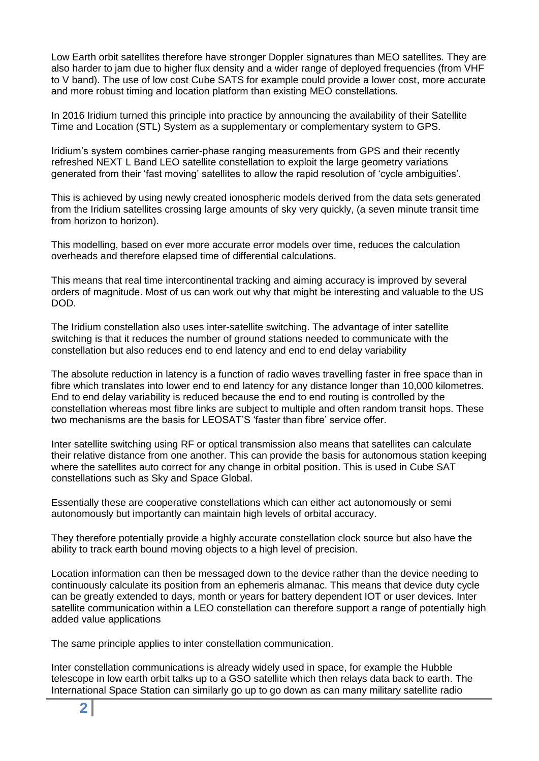Low Earth orbit satellites therefore have stronger Doppler signatures than MEO satellites. They are also harder to jam due to higher flux density and a wider range of deployed frequencies (from VHF to V band). The use of low cost Cube SATS for example could provide a lower cost, more accurate and more robust timing and location platform than existing MEO constellations.

In 2016 Iridium turned this principle into practice by announcing the availability of their Satellite Time and Location (STL) System as a supplementary or complementary system to GPS.

Iridium's system combines carrier-phase ranging measurements from GPS and their recently refreshed NEXT L Band LEO satellite constellation to exploit the large geometry variations generated from their 'fast moving' satellites to allow the rapid resolution of 'cycle ambiguities'.

This is achieved by using newly created ionospheric models derived from the data sets generated from the Iridium satellites crossing large amounts of sky very quickly, (a seven minute transit time from horizon to horizon).

This modelling, based on ever more accurate error models over time, reduces the calculation overheads and therefore elapsed time of differential calculations.

This means that real time intercontinental tracking and aiming accuracy is improved by several orders of magnitude. Most of us can work out why that might be interesting and valuable to the US DOD.

The Iridium constellation also uses inter-satellite switching. The advantage of inter satellite switching is that it reduces the number of ground stations needed to communicate with the constellation but also reduces end to end latency and end to end delay variability

The absolute reduction in latency is a function of radio waves travelling faster in free space than in fibre which translates into lower end to end latency for any distance longer than 10,000 kilometres. End to end delay variability is reduced because the end to end routing is controlled by the constellation whereas most fibre links are subject to multiple and often random transit hops. These two mechanisms are the basis for LEOSAT'S 'faster than fibre' service offer.

Inter satellite switching using RF or optical transmission also means that satellites can calculate their relative distance from one another. This can provide the basis for autonomous station keeping where the satellites auto correct for any change in orbital position. This is used in Cube SAT constellations such as Sky and Space Global.

Essentially these are cooperative constellations which can either act autonomously or semi autonomously but importantly can maintain high levels of orbital accuracy.

They therefore potentially provide a highly accurate constellation clock source but also have the ability to track earth bound moving objects to a high level of precision.

Location information can then be messaged down to the device rather than the device needing to continuously calculate its position from an ephemeris almanac. This means that device duty cycle can be greatly extended to days, month or years for battery dependent IOT or user devices. Inter satellite communication within a LEO constellation can therefore support a range of potentially high added value applications

The same principle applies to inter constellation communication.

Inter constellation communications is already widely used in space, for example the Hubble telescope in low earth orbit talks up to a GSO satellite which then relays data back to earth. The International Space Station can similarly go up to go down as can many military satellite radio